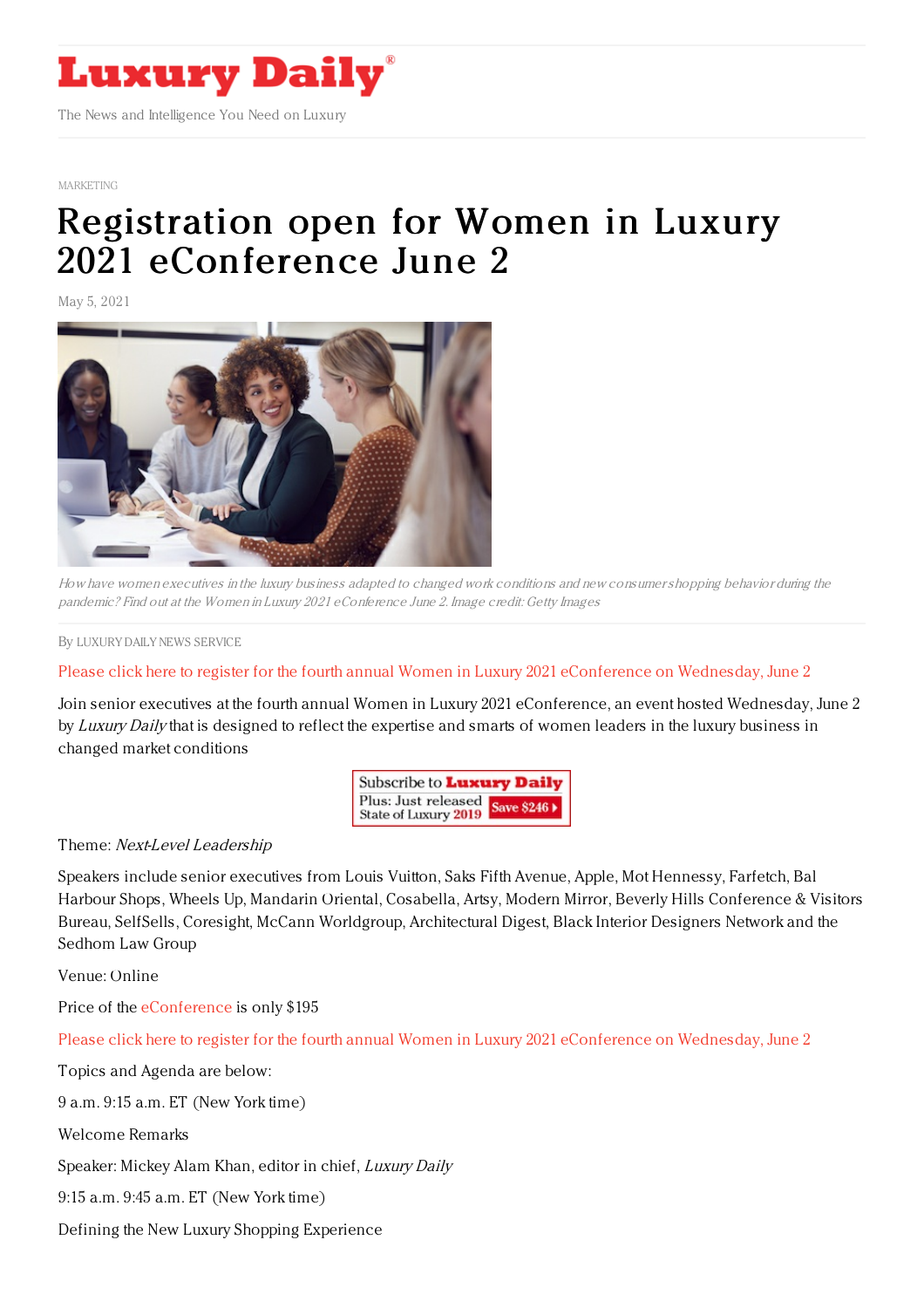

[MARKETING](https://www.luxurydaily.com/category/sectors/marketing-industry-sectors/)

## Registration open for Women in Luxury 2021 [eConference](https://www.luxurydaily.com/registration-open-for-women-in-luxury-2021-econference-june-2-3-2/) June 2

May 5, 2021



How have women executives in the luxury business adapted to changed work conditions and new consumershopping behavior during the pandemic? Find out at the Women in Luxury 2021 eConference June 2. Image credit: Getty Images

By LUXURY DAILY NEWS [SERVICE](file:///author/luxury-daily-news-service)

## Please click here to register for the fourth annual Women in Luxury 2021 [eConference](https://womeninluxury.luxurydaily.com/) on Wednesday, June 2

Join senior executives at the fourth annual Women in Luxury 2021 eConference, an event hosted Wednesday, June 2 by Luxury Daily that is designed to reflect the expertise and smarts of women leaders in the luxury business in changed market conditions

> Subscribe to **Luxury Daily** Plus: Just released State of Luxury 2019

## Theme: Next-Level Leadership

Speakers include senior executives from Louis Vuitton, Saks Fifth Avenue, Apple, Mot Hennessy, Farfetch, Bal Harbour Shops, Wheels Up, Mandarin Oriental, Cosabella, Artsy, Modern Mirror, Beverly Hills Conference & Visitors Bureau, SelfSells, Coresight, McCann Worldgroup, Architectural Digest, Black Interior Designers Network and the Sedhom Law Group

Venue: Online

Price of the [eConference](https://register.gotowebinar.com/register/383784947413540624) is only \$195

Please click here to register for the fourth annual Women in Luxury 2021 [eConference](https://womeninluxury.luxurydaily.com/) on Wednesday, June 2

Topics and Agenda are below:

9 a.m. 9:15 a.m. ET (New York time)

Welcome Remarks

Speaker: Mickey Alam Khan, editor in chief, Luxury Daily

9:15 a.m. 9:45 a.m. ET (New York time)

Defining the New Luxury Shopping Experience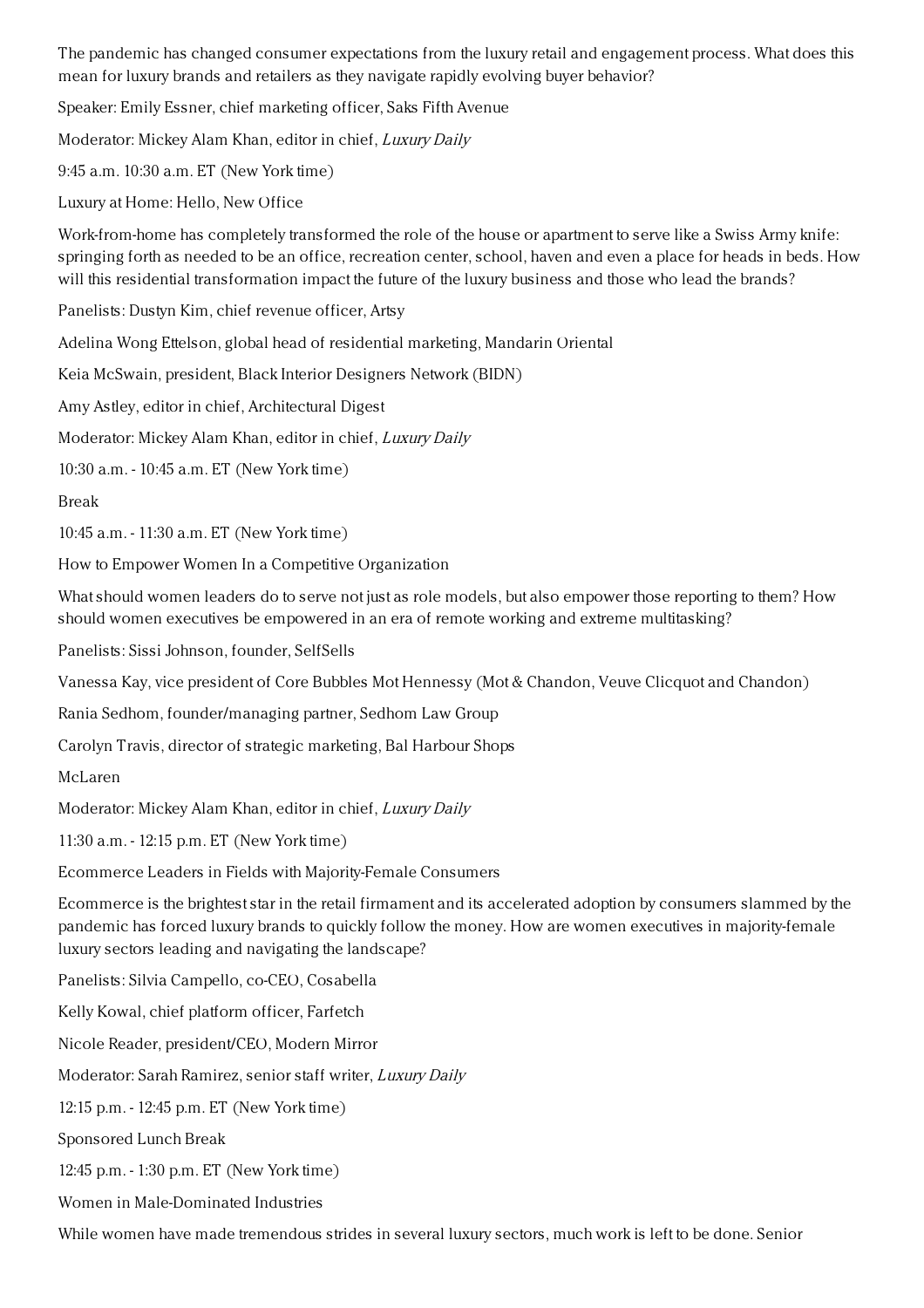The pandemic has changed consumer expectations from the luxury retail and engagement process. What does this mean for luxury brands and retailers as they navigate rapidly evolving buyer behavior?

Speaker: Emily Essner, chief marketing officer, Saks Fifth Avenue

Moderator: Mickey Alam Khan, editor in chief, Luxury Daily

9:45 a.m. 10:30 a.m. ET (New York time)

Luxury at Home: Hello, New Office

Work-from-home has completely transformed the role of the house or apartment to serve like a Swiss Army knife: springing forth as needed to be an office, recreation center, school, haven and even a place for heads in beds. How will this residential transformation impact the future of the luxury business and those who lead the brands?

Panelists: Dustyn Kim, chief revenue officer, Artsy

Adelina Wong Ettelson, global head of residential marketing, Mandarin Oriental

Keia McSwain, president, Black Interior Designers Network (BIDN)

Amy Astley, editor in chief, Architectural Digest

Moderator: Mickey Alam Khan, editor in chief, Luxury Daily

10:30 a.m. - 10:45 a.m. ET (New York time)

Break

10:45 a.m. - 11:30 a.m. ET (New York time)

How to Empower Women In a Competitive Organization

What should women leaders do to serve not just as role models, but also empower those reporting to them? How should women executives be empowered in an era of remote working and extreme multitasking?

Panelists: Sissi Johnson, founder, SelfSells

Vanessa Kay, vice president of Core Bubbles Mot Hennessy (Mot & Chandon, Veuve Clicquot and Chandon)

Rania Sedhom, founder/managing partner, Sedhom Law Group

Carolyn Travis, director of strategic marketing, Bal Harbour Shops

McLaren

Moderator: Mickey Alam Khan, editor in chief, Luxury Daily

11:30 a.m. - 12:15 p.m. ET (New York time)

Ecommerce Leaders in Fields with Majority-Female Consumers

Ecommerce is the brightest star in the retail firmament and its accelerated adoption by consumers slammed by the pandemic has forced luxury brands to quickly follow the money. How are women executives in majority-female luxury sectors leading and navigating the landscape?

Panelists: Silvia Campello, co-CEO, Cosabella

Kelly Kowal, chief platform officer, Farfetch

Nicole Reader, president/CEO, Modern Mirror

Moderator: Sarah Ramirez, senior staff writer, Luxury Daily

12:15 p.m. - 12:45 p.m. ET (New York time)

Sponsored Lunch Break

12:45 p.m. - 1:30 p.m. ET (New York time)

Women in Male-Dominated Industries

While women have made tremendous strides in several luxury sectors, much work is left to be done. Senior